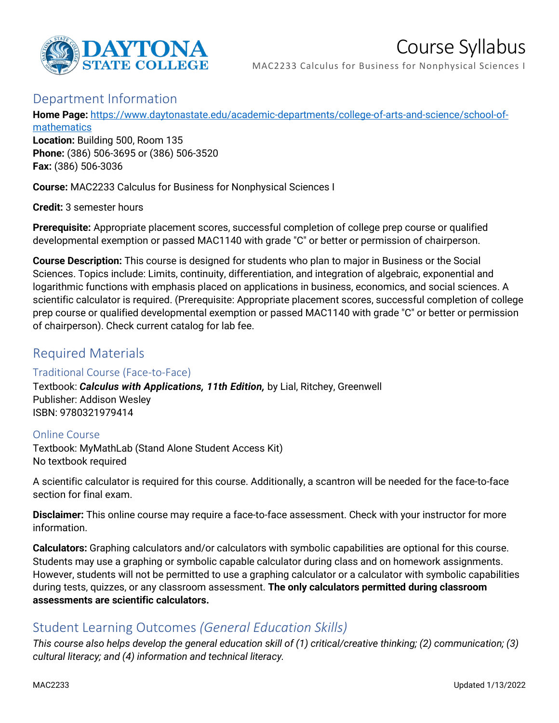

# Course Syllabus

MAC2233 Calculus for Business for Nonphysical Sciences I

## Department Information

**Home Page:** [https://www.daytonastate.edu/academic-departments/college-of-arts-and-science/school-of-](https://www.daytonastate.edu/academic-departments/college-of-arts-and-science/school-of-mathematics)

[mathematics](https://www.daytonastate.edu/academic-departments/college-of-arts-and-science/school-of-mathematics) **Location:** Building 500, Room 135 **Phone:** (386) 506-3695 or (386) 506-3520 **Fax:** (386) 506-3036

**Course:** MAC2233 Calculus for Business for Nonphysical Sciences I

**Credit:** 3 semester hours

**Prerequisite:** Appropriate placement scores, successful completion of college prep course or qualified developmental exemption or passed MAC1140 with grade "C" or better or permission of chairperson.

**Course Description:** This course is designed for students who plan to major in Business or the Social Sciences. Topics include: Limits, continuity, differentiation, and integration of algebraic, exponential and logarithmic functions with emphasis placed on applications in business, economics, and social sciences. A scientific calculator is required. (Prerequisite: Appropriate placement scores, successful completion of college prep course or qualified developmental exemption or passed MAC1140 with grade "C" or better or permission of chairperson). Check current catalog for lab fee.

# Required Materials

#### Traditional Course (Face-to-Face)

Textbook: *Calculus with Applications, 11th Edition,* by Lial, Ritchey, Greenwell Publisher: Addison Wesley ISBN: 9780321979414

#### Online Course

Textbook: MyMathLab (Stand Alone Student Access Kit) No textbook required

A scientific calculator is required for this course. Additionally, a scantron will be needed for the face-to-face section for final exam.

**Disclaimer:** This online course may require a face-to-face assessment. Check with your instructor for more information.

**Calculators:** Graphing calculators and/or calculators with symbolic capabilities are optional for this course. Students may use a graphing or symbolic capable calculator during class and on homework assignments. However, students will not be permitted to use a graphing calculator or a calculator with symbolic capabilities during tests, quizzes, or any classroom assessment. **The only calculators permitted during classroom assessments are scientific calculators.**

## Student Learning Outcomes *(General Education Skills)*

*This course also helps develop the general education skill of (1) critical/creative thinking; (2) communication; (3) cultural literacy; and (4) information and technical literacy.*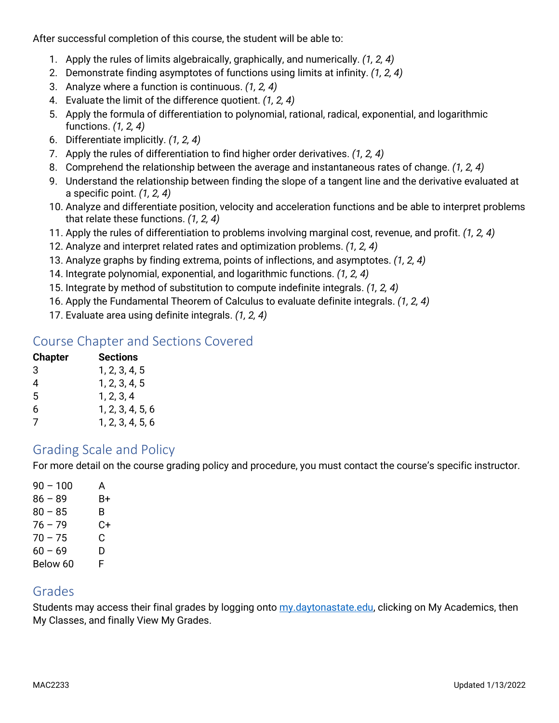After successful completion of this course, the student will be able to:

- 1. Apply the rules of limits algebraically, graphically, and numerically. *(1, 2, 4)*
- 2. Demonstrate finding asymptotes of functions using limits at infinity. *(1, 2, 4)*
- 3. Analyze where a function is continuous. *(1, 2, 4)*
- 4. Evaluate the limit of the difference quotient. *(1, 2, 4)*
- 5. Apply the formula of differentiation to polynomial, rational, radical, exponential, and logarithmic functions. *(1, 2, 4)*
- 6. Differentiate implicitly. *(1, 2, 4)*
- 7. Apply the rules of differentiation to find higher order derivatives. *(1, 2, 4)*
- 8. Comprehend the relationship between the average and instantaneous rates of change. *(1, 2, 4)*
- 9. Understand the relationship between finding the slope of a tangent line and the derivative evaluated at a specific point. *(1, 2, 4)*
- 10. Analyze and differentiate position, velocity and acceleration functions and be able to interpret problems that relate these functions. *(1, 2, 4)*
- 11. Apply the rules of differentiation to problems involving marginal cost, revenue, and profit. *(1, 2, 4)*
- 12. Analyze and interpret related rates and optimization problems. *(1, 2, 4)*
- 13. Analyze graphs by finding extrema, points of inflections, and asymptotes. *(1, 2, 4)*
- 14. Integrate polynomial, exponential, and logarithmic functions. *(1, 2, 4)*
- 15. Integrate by method of substitution to compute indefinite integrals. *(1, 2, 4)*
- 16. Apply the Fundamental Theorem of Calculus to evaluate definite integrals. *(1, 2, 4)*
- 17. Evaluate area using definite integrals. *(1, 2, 4)*

## Course Chapter and Sections Covered

| <b>Sections</b>  |
|------------------|
| 1, 2, 3, 4, 5    |
| 1, 2, 3, 4, 5    |
| 1, 2, 3, 4       |
| 1, 2, 3, 4, 5, 6 |
| 1, 2, 3, 4, 5, 6 |
|                  |

## Grading Scale and Policy

For more detail on the course grading policy and procedure, you must contact the course's specific instructor.

| 90 - 100  | A  |
|-----------|----|
| $86 - 89$ | B+ |
| $80 - 85$ | B. |
| $76 - 79$ | C+ |
| $70 - 75$ | C. |
| $60 - 69$ | D  |
| Below 60  | F  |

## Grades

Students may access their final grades by logging onto [my.daytonastate.edu,](https://my.daytonastate.edu/) clicking on My Academics, then My Classes, and finally View My Grades.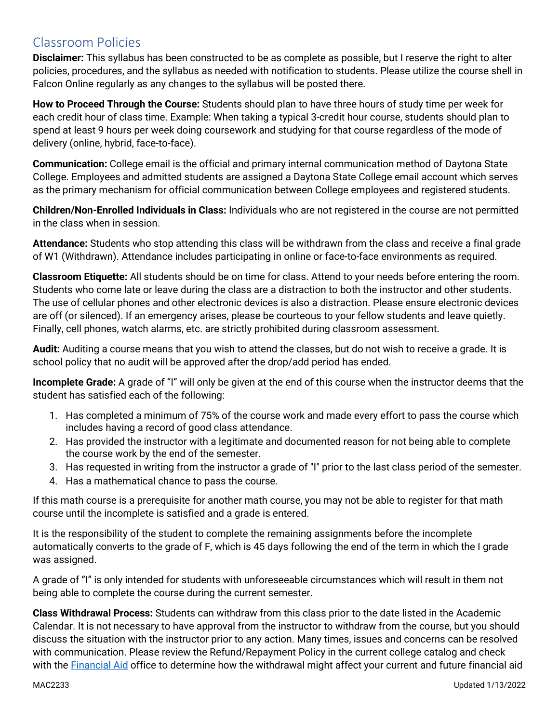# Classroom Policies

**Disclaimer:** This syllabus has been constructed to be as complete as possible, but I reserve the right to alter policies, procedures, and the syllabus as needed with notification to students. Please utilize the course shell in Falcon Online regularly as any changes to the syllabus will be posted there.

**How to Proceed Through the Course:** Students should plan to have three hours of study time per week for each credit hour of class time. Example: When taking a typical 3-credit hour course, students should plan to spend at least 9 hours per week doing coursework and studying for that course regardless of the mode of delivery (online, hybrid, face-to-face).

**Communication:** College email is the official and primary internal communication method of Daytona State College. Employees and admitted students are assigned a Daytona State College email account which serves as the primary mechanism for official communication between College employees and registered students.

**Children/Non-Enrolled Individuals in Class:** Individuals who are not registered in the course are not permitted in the class when in session.

**Attendance:** Students who stop attending this class will be withdrawn from the class and receive a final grade of W1 (Withdrawn). Attendance includes participating in online or face-to-face environments as required.

**Classroom Etiquette:** All students should be on time for class. Attend to your needs before entering the room. Students who come late or leave during the class are a distraction to both the instructor and other students. The use of cellular phones and other electronic devices is also a distraction. Please ensure electronic devices are off (or silenced). If an emergency arises, please be courteous to your fellow students and leave quietly. Finally, cell phones, watch alarms, etc. are strictly prohibited during classroom assessment.

**Audit:** Auditing a course means that you wish to attend the classes, but do not wish to receive a grade. It is school policy that no audit will be approved after the drop/add period has ended.

**Incomplete Grade:** A grade of "I" will only be given at the end of this course when the instructor deems that the student has satisfied each of the following:

- 1. Has completed a minimum of 75% of the course work and made every effort to pass the course which includes having a record of good class attendance.
- 2. Has provided the instructor with a legitimate and documented reason for not being able to complete the course work by the end of the semester.
- 3. Has requested in writing from the instructor a grade of "I" prior to the last class period of the semester.
- 4. Has a mathematical chance to pass the course.

If this math course is a prerequisite for another math course, you may not be able to register for that math course until the incomplete is satisfied and a grade is entered.

It is the responsibility of the student to complete the remaining assignments before the incomplete automatically converts to the grade of F, which is 45 days following the end of the term in which the I grade was assigned.

A grade of "I" is only intended for students with unforeseeable circumstances which will result in them not being able to complete the course during the current semester.

**Class Withdrawal Process:** Students can withdraw from this class prior to the date listed in the Academic Calendar. It is not necessary to have approval from the instructor to withdraw from the course, but you should discuss the situation with the instructor prior to any action. Many times, issues and concerns can be resolved with communication. Please review the Refund/Repayment Policy in the current college catalog and check with the [Financial Aid](https://www.daytonastate.edu/financial-aid) office to determine how the withdrawal might affect your current and future financial aid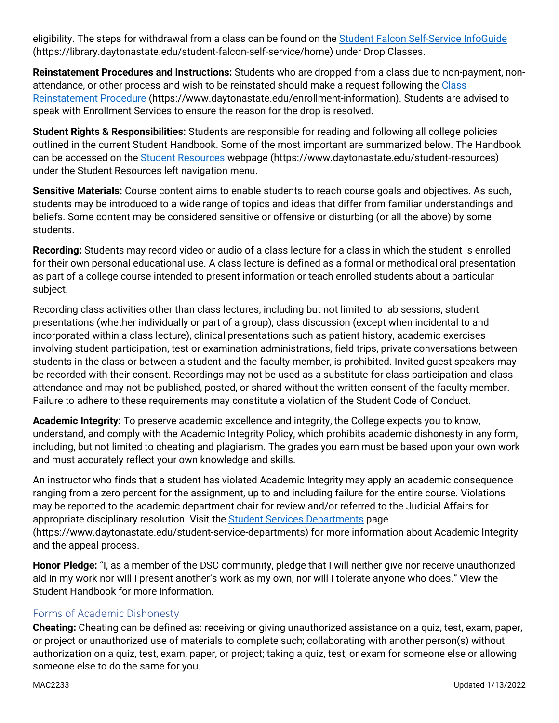eligibility. The steps for withdrawal from a class can be found on the [Student Falcon Self-Service InfoGuide](https://library.daytonastate.edu/student-falcon-self-service/home) (https://library.daytonastate.edu/student-falcon-self-service/home) under Drop Classes.

**Reinstatement Procedures and Instructions:** Students who are dropped from a class due to non-payment, nonattendance, or other process and wish to be reinstated should make a request following the Class [Reinstatement Procedure](https://www.daytonastate.edu/enrollment-information/index.html) (https://www.daytonastate.edu/enrollment-information). Students are advised to speak with Enrollment Services to ensure the reason for the drop is resolved.

**Student Rights & Responsibilities:** Students are responsible for reading and following all college policies outlined in the current Student Handbook. Some of the most important are summarized below. The Handbook can be accessed on the [Student Resources](https://www.daytonastate.edu/student-resources) webpage (https://www.daytonastate.edu/student-resources) under the Student Resources left navigation menu.

**Sensitive Materials:** Course content aims to enable students to reach course goals and objectives. As such, students may be introduced to a wide range of topics and ideas that differ from familiar understandings and beliefs. Some content may be considered sensitive or offensive or disturbing (or all the above) by some students.

**Recording:** Students may record video or audio of a class lecture for a class in which the student is enrolled for their own personal educational use. A class lecture is defined as a formal or methodical oral presentation as part of a college course intended to present information or teach enrolled students about a particular subject.

Recording class activities other than class lectures, including but not limited to lab sessions, student presentations (whether individually or part of a group), class discussion (except when incidental to and incorporated within a class lecture), clinical presentations such as patient history, academic exercises involving student participation, test or examination administrations, field trips, private conversations between students in the class or between a student and the faculty member, is prohibited. Invited guest speakers may be recorded with their consent. Recordings may not be used as a substitute for class participation and class attendance and may not be published, posted, or shared without the written consent of the faculty member. Failure to adhere to these requirements may constitute a violation of the Student Code of Conduct.

**Academic Integrity:** To preserve academic excellence and integrity, the College expects you to know, understand, and comply with the Academic Integrity Policy, which prohibits academic dishonesty in any form, including, but not limited to cheating and plagiarism. The grades you earn must be based upon your own work and must accurately reflect your own knowledge and skills.

An instructor who finds that a student has violated Academic Integrity may apply an academic consequence ranging from a zero percent for the assignment, up to and including failure for the entire course. Violations may be reported to the academic department chair for review and/or referred to the Judicial Affairs for appropriate disciplinary resolution. Visit the [Student Services Departments](https://www.daytonastate.edu/student-service-departments) page (https://www.daytonastate.edu/student-service-departments) for more information about Academic Integrity and the appeal process.

**Honor Pledge:** "I, as a member of the DSC community, pledge that I will neither give nor receive unauthorized aid in my work nor will I present another's work as my own, nor will I tolerate anyone who does." View the Student Handbook for more information.

#### Forms of Academic Dishonesty

**Cheating:** Cheating can be defined as: receiving or giving unauthorized assistance on a quiz, test, exam, paper, or project or unauthorized use of materials to complete such; collaborating with another person(s) without authorization on a quiz, test, exam, paper, or project; taking a quiz, test, or exam for someone else or allowing someone else to do the same for you.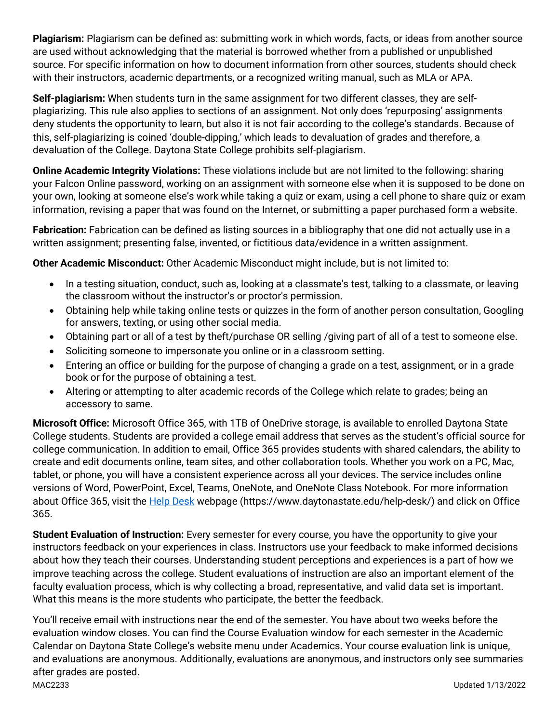**Plagiarism:** Plagiarism can be defined as: submitting work in which words, facts, or ideas from another source are used without acknowledging that the material is borrowed whether from a published or unpublished source. For specific information on how to document information from other sources, students should check with their instructors, academic departments, or a recognized writing manual, such as MLA or APA.

**Self-plagiarism:** When students turn in the same assignment for two different classes, they are selfplagiarizing. This rule also applies to sections of an assignment. Not only does 'repurposing' assignments deny students the opportunity to learn, but also it is not fair according to the college's standards. Because of this, self-plagiarizing is coined 'double-dipping,' which leads to devaluation of grades and therefore, a devaluation of the College. Daytona State College prohibits self-plagiarism.

**Online Academic Integrity Violations:** These violations include but are not limited to the following: sharing your Falcon Online password, working on an assignment with someone else when it is supposed to be done on your own, looking at someone else's work while taking a quiz or exam, using a cell phone to share quiz or exam information, revising a paper that was found on the Internet, or submitting a paper purchased form a website.

**Fabrication:** Fabrication can be defined as listing sources in a bibliography that one did not actually use in a written assignment; presenting false, invented, or fictitious data/evidence in a written assignment.

**Other Academic Misconduct:** Other Academic Misconduct might include, but is not limited to:

- In a testing situation, conduct, such as, looking at a classmate's test, talking to a classmate, or leaving the classroom without the instructor's or proctor's permission.
- Obtaining help while taking online tests or quizzes in the form of another person consultation, Googling for answers, texting, or using other social media.
- Obtaining part or all of a test by theft/purchase OR selling /giving part of all of a test to someone else.
- Soliciting someone to impersonate you online or in a classroom setting.
- Entering an office or building for the purpose of changing a grade on a test, assignment, or in a grade book or for the purpose of obtaining a test.
- Altering or attempting to alter academic records of the College which relate to grades; being an accessory to same.

**Microsoft Office:** Microsoft Office 365, with 1TB of OneDrive storage, is available to enrolled Daytona State College students. Students are provided a college email address that serves as the student's official source for college communication. In addition to email, Office 365 provides students with shared calendars, the ability to create and edit documents online, team sites, and other collaboration tools. Whether you work on a PC, Mac, tablet, or phone, you will have a consistent experience across all your devices. The service includes online versions of Word, PowerPoint, Excel, Teams, OneNote, and OneNote Class Notebook. For more information about Office 365, visit the [Help Desk](https://www.daytonastate.edu/help-desk/) webpage (https://www.daytonastate.edu/help-desk/) and click on Office 365.

**Student Evaluation of Instruction:** Every semester for every course, you have the opportunity to give your instructors feedback on your experiences in class. Instructors use your feedback to make informed decisions about how they teach their courses. Understanding student perceptions and experiences is a part of how we improve teaching across the college. Student evaluations of instruction are also an important element of the faculty evaluation process, which is why collecting a broad, representative, and valid data set is important. What this means is the more students who participate, the better the feedback.

MAC2233 Updated 1/13/2022 You'll receive email with instructions near the end of the semester. You have about two weeks before the evaluation window closes. You can find the Course Evaluation window for each semester in the Academic Calendar on Daytona State College's website menu under Academics. Your course evaluation link is unique, and evaluations are anonymous. Additionally, evaluations are anonymous, and instructors only see summaries after grades are posted.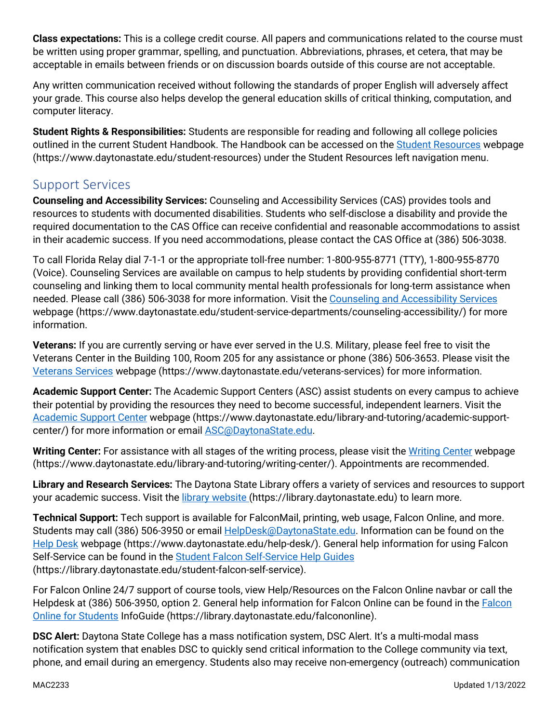**Class expectations:** This is a college credit course. All papers and communications related to the course must be written using proper grammar, spelling, and punctuation. Abbreviations, phrases, et cetera, that may be acceptable in emails between friends or on discussion boards outside of this course are not acceptable.

Any written communication received without following the standards of proper English will adversely affect your grade. This course also helps develop the general education skills of critical thinking, computation, and computer literacy.

**Student Rights & Responsibilities:** Students are responsible for reading and following all college policies outlined in the current Student Handbook. The Handbook can be accessed on the [Student Resources](https://www.daytonastate.edu/student-resources) webpage (https://www.daytonastate.edu/student-resources) under the Student Resources left navigation menu.

## Support Services

**Counseling and Accessibility Services:** Counseling and Accessibility Services (CAS) provides tools and resources to students with documented disabilities. Students who self-disclose a disability and provide the required documentation to the CAS Office can receive confidential and reasonable accommodations to assist in their academic success. If you need accommodations, please contact the CAS Office at (386) 506-3038.

To call Florida Relay dial 7-1-1 or the appropriate toll-free number: 1-800-955-8771 (TTY), 1-800-955-8770 (Voice). Counseling Services are available on campus to help students by providing confidential short-term counseling and linking them to local community mental health professionals for long-term assistance when needed. Please call (386) 506-3038 for more information. Visit the [Counseling and Accessibility Services](https://www.daytonastate.edu/student-service-departments/counseling-accessibility/) webpage (https://www.daytonastate.edu/student-service-departments/counseling-accessibility/) for more information.

**Veterans:** If you are currently serving or have ever served in the U.S. Military, please feel free to visit the Veterans Center in the Building 100, Room 205 for any assistance or phone (386) 506-3653. Please visit the [Veterans Services](https://www.daytonastate.edu/veterans-services) webpage (https://www.daytonastate.edu/veterans-services) for more information.

**Academic Support Center:** The Academic Support Centers (ASC) assist students on every campus to achieve their potential by providing the resources they need to become successful, independent learners. Visit the [Academic Support Center](https://www.daytonastate.edu/library-and-tutoring/academic-support-center/index.html) webpage (https://www.daytonastate.edu/library-and-tutoring/academic-supportcenter/) for more information or email [ASC@DaytonaState.edu.](mailto:ASC@DaytonaState.edu)

Writing Center: For assistance with all stages of the writing process, please visit the [Writing Center](https://www.daytonastate.edu/library-and-tutoring/writing-center/) webpage (https://www.daytonastate.edu/library-and-tutoring/writing-center/). Appointments are recommended.

**Library and Research Services:** The Daytona State Library offers a variety of services and resources to support your academic success. Visit the [library website \(](https://library.daytonastate.edu/index)https://library.daytonastate.edu) to learn more.

**Technical Support:** Tech support is available for FalconMail, printing, web usage, Falcon Online, and more. Students may call (386) 506-3950 or email **HelpDesk@DaytonaState.edu**. Information can be found on the [Help Desk](https://www.daytonastate.edu/help-desk/) webpage (https://www.daytonastate.edu/help-desk/). General help information for using Falcon Self-Service can be found in the [Student Falcon Self-Service Help Guides](https://library.daytonastate.edu/student-falcon-self-service) (https://library.daytonastate.edu/student-falcon-self-service).

For Falcon Online 24/7 support of course tools, view Help/Resources on the Falcon Online navbar or call the Helpdesk at (386) 506-3950, option 2. General help information for Falcon Online can be found in the [Falcon](https://library.daytonastate.edu/falcononline)  [Online for Students](https://library.daytonastate.edu/falcononline) InfoGuide (https://library.daytonastate.edu/falcononline).

**DSC Alert:** Daytona State College has a mass notification system, DSC Alert. It's a multi-modal mass notification system that enables DSC to quickly send critical information to the College community via text, phone, and email during an emergency. Students also may receive non-emergency (outreach) communication